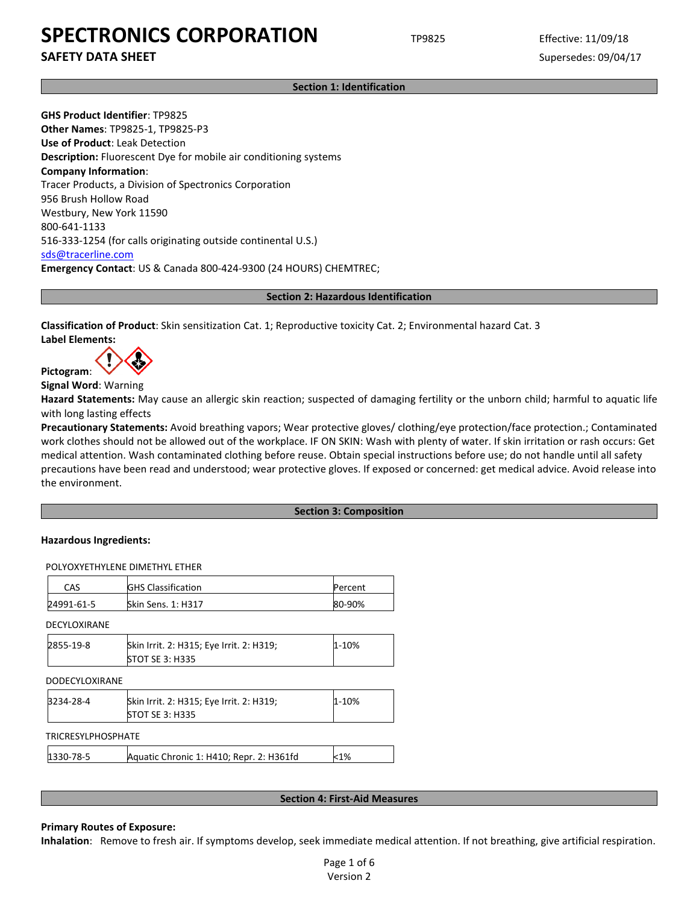**SAFETY DATA SHEET** SUPERFOUR SUPERFOUR SUPERFOUR SUPERFOUR SUPERFOUR SUPERFOUR SUPERFOUR SUPERFOUR SUPERFOUR SUPERFOUR SUPERFOUR SUPERFOUR SUPERFOUR SUPERFOUR SUPERFOUR SUPERFOUR SUPERFOUR SUPERFOUR SUPERFOUR SUPERFOUR SU

**Section 1: Identification**

**GHS Product Identifier**: TP9825 **Other Names**: TP9825-1, TP9825-P3 **Use of Product**: Leak Detection **Description:** Fluorescent Dye for mobile air conditioning systems **Company Information**: Tracer Products, a Division of Spectronics Corporation 956 Brush Hollow Road Westbury, New York 11590 800-641-1133 516-333-1254 (for calls originating outside continental U.S.) [sds@tracerline.com](mailto:sds@tracerline.com) **Emergency Contact**: US & Canada 800-424-9300 (24 HOURS) CHEMTREC;

**Section 2: Hazardous Identification**

**Classification of Product**: Skin sensitization Cat. 1; Reproductive toxicity Cat. 2; Environmental hazard Cat. 3 **Label Elements:** 

**Pictogram**:

**Signal Word**: Warning

**Hazard Statements:** May cause an allergic skin reaction; suspected of damaging fertility or the unborn child; harmful to aquatic life with long lasting effects

**Precautionary Statements:** Avoid breathing vapors; Wear protective gloves/ clothing/eye protection/face protection.; Contaminated work clothes should not be allowed out of the workplace. IF ON SKIN: Wash with plenty of water. If skin irritation or rash occurs: Get medical attention. Wash contaminated clothing before reuse. Obtain special instructions before use; do not handle until all safety precautions have been read and understood; wear protective gloves. If exposed or concerned: get medical advice. Avoid release into the environment.

#### **Section 3: Composition**

#### **Hazardous Ingredients:**

POLYOXYETHYLENE DIMETHYL ETHER

| CAS          | <b>GHS Classification</b> | Percent |
|--------------|---------------------------|---------|
| 24991-61-5   | <b>Skin Sens. 1: H317</b> | 80-90%  |
| DECYLOXIRANE |                           |         |

| 2855-19-8 | Skin Irrit. 2: H315; Eye Irrit. 2: H319; | $1 - 10%$ |
|-----------|------------------------------------------|-----------|
|           | <b>STOT SE 3: H335</b>                   |           |

| <b>DODECYLOXIRANE</b>     |                                                                    |           |
|---------------------------|--------------------------------------------------------------------|-----------|
| 3234-28-4                 | Skin Irrit. 2: H315; Eye Irrit. 2: H319;<br><b>STOT SE 3: H335</b> | $1 - 10%$ |
| <b>TRICRESYLPHOSPHATE</b> |                                                                    |           |
| 1330-78-5                 | Aquatic Chronic 1: H410; Repr. 2: H361fd                           | $<$ 1%    |

#### **Section 4: First-Aid Measures**

#### **Primary Routes of Exposure:**

**Inhalation**: Remove to fresh air. If symptoms develop, seek immediate medical attention. If not breathing, give artificial respiration.

Page 1 of 6 Version 2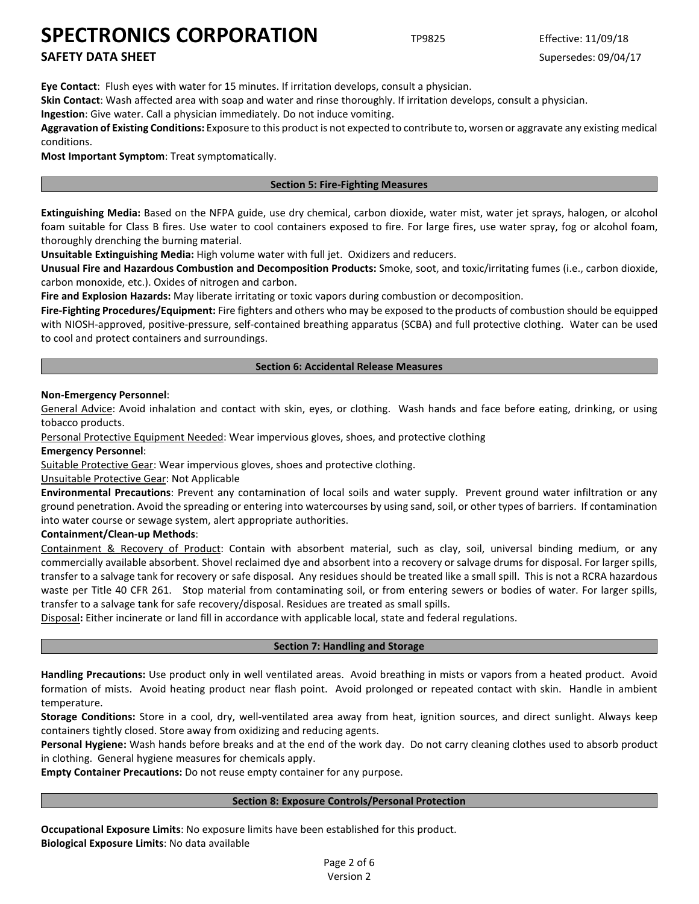# **SAFETY DATA SHEET** SUPERFOUR SUPERFOUR SUPERFOUR SUPERFOUR SUPERFOUR SUPERFOUR SUPERFOUR SUPERFOUR SUPERFOUR SUPERFOUR SUPERFOUR SUPERFOUR SUPERFOUR SUPERFOUR SUPERFOUR SUPERFOUR SUPERFOUR SUPERFOUR SUPERFOUR SUPERFOUR SU

**Eye Contact**: Flush eyes with water for 15 minutes. If irritation develops, consult a physician.

**Skin Contact**: Wash affected area with soap and water and rinse thoroughly. If irritation develops, consult a physician.

**Ingestion**: Give water. Call a physician immediately. Do not induce vomiting.

**Aggravation of Existing Conditions:** Exposure to this product is not expected to contribute to, worsen or aggravate any existing medical conditions.

**Most Important Symptom**: Treat symptomatically.

#### **Section 5: Fire-Fighting Measures**

**Extinguishing Media:** Based on the NFPA guide, use dry chemical, carbon dioxide, water mist, water jet sprays, halogen, or alcohol foam suitable for Class B fires. Use water to cool containers exposed to fire. For large fires, use water spray, fog or alcohol foam, thoroughly drenching the burning material.

**Unsuitable Extinguishing Media:** High volume water with full jet. Oxidizers and reducers.

**Unusual Fire and Hazardous Combustion and Decomposition Products:** Smoke, soot, and toxic/irritating fumes (i.e., carbon dioxide, carbon monoxide, etc.). Oxides of nitrogen and carbon.

**Fire and Explosion Hazards:** May liberate irritating or toxic vapors during combustion or decomposition.

**Fire-Fighting Procedures/Equipment:** Fire fighters and others who may be exposed to the products of combustion should be equipped with NIOSH-approved, positive-pressure, self-contained breathing apparatus (SCBA) and full protective clothing. Water can be used to cool and protect containers and surroundings.

#### **Section 6: Accidental Release Measures**

#### **Non-Emergency Personnel**:

General Advice: Avoid inhalation and contact with skin, eyes, or clothing. Wash hands and face before eating, drinking, or using tobacco products.

Personal Protective Equipment Needed: Wear impervious gloves, shoes, and protective clothing

**Emergency Personnel**:

Suitable Protective Gear: Wear impervious gloves, shoes and protective clothing.

### Unsuitable Protective Gear: Not Applicable

**Environmental Precautions**: Prevent any contamination of local soils and water supply. Prevent ground water infiltration or any ground penetration. Avoid the spreading or entering into watercourses by using sand, soil, or other types of barriers. If contamination into water course or sewage system, alert appropriate authorities.

#### **Containment/Clean-up Methods**:

Containment & Recovery of Product: Contain with absorbent material, such as clay, soil, universal binding medium, or any commercially available absorbent. Shovel reclaimed dye and absorbent into a recovery or salvage drums for disposal. For larger spills, transfer to a salvage tank for recovery or safe disposal. Any residues should be treated like a small spill. This is not a RCRA hazardous waste per Title 40 CFR 261. Stop material from contaminating soil, or from entering sewers or bodies of water. For larger spills, transfer to a salvage tank for safe recovery/disposal. Residues are treated as small spills.

Disposal**:** Either incinerate or land fill in accordance with applicable local, state and federal regulations.

### **Section 7: Handling and Storage**

**Handling Precautions:** Use product only in well ventilated areas. Avoid breathing in mists or vapors from a heated product. Avoid formation of mists. Avoid heating product near flash point. Avoid prolonged or repeated contact with skin. Handle in ambient temperature.

**Storage Conditions:** Store in a cool, dry, well-ventilated area away from heat, ignition sources, and direct sunlight. Always keep containers tightly closed. Store away from oxidizing and reducing agents.

**Personal Hygiene:** Wash hands before breaks and at the end of the work day. Do not carry cleaning clothes used to absorb product in clothing. General hygiene measures for chemicals apply.

**Empty Container Precautions:** Do not reuse empty container for any purpose.

#### **Section 8: Exposure Controls/Personal Protection**

**Occupational Exposure Limits**: No exposure limits have been established for this product. **Biological Exposure Limits**: No data available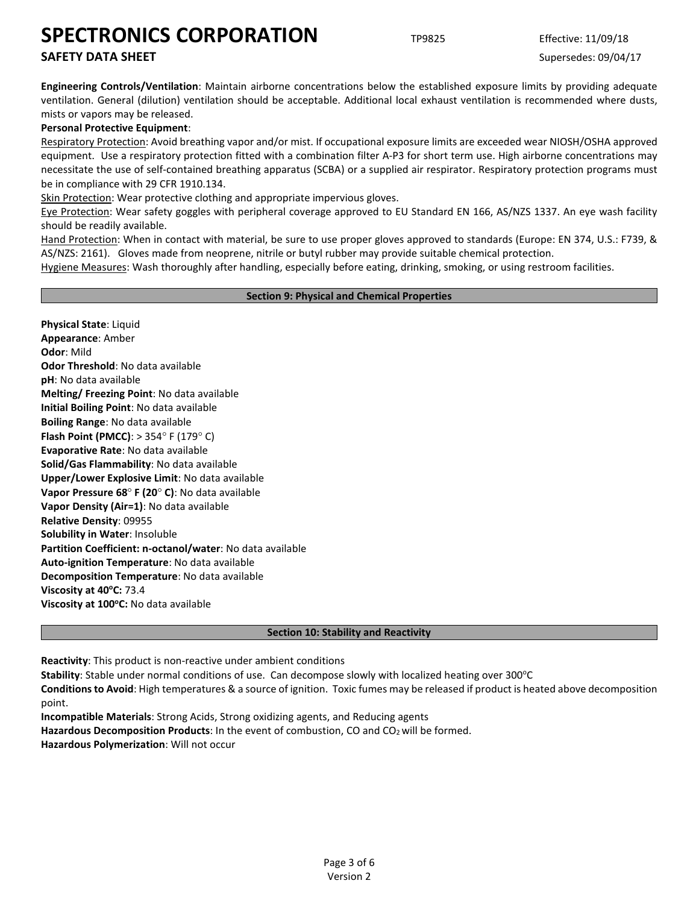# **SAFETY DATA SHEET** SUPERFOUR SUPERFOUR SUPERFOUR SUPERFOUR SUPERFOUR SUPERFOUR SUPERFOUR SUPERFOUR SUPERFOUR SUPERFOUR SUPERFOUR SUPERFOUR SUPERFOUR SUPERFOUR SUPERFOUR SUPERFOUR SUPERFOUR SUPERFOUR SUPERFOUR SUPERFOUR SU

**Engineering Controls/Ventilation**: Maintain airborne concentrations below the established exposure limits by providing adequate ventilation. General (dilution) ventilation should be acceptable. Additional local exhaust ventilation is recommended where dusts, mists or vapors may be released.

### **Personal Protective Equipment**:

Respiratory Protection: Avoid breathing vapor and/or mist. If occupational exposure limits are exceeded wear NIOSH/OSHA approved equipment. Use a respiratory protection fitted with a combination filter A-P3 for short term use. High airborne concentrations may necessitate the use of self-contained breathing apparatus (SCBA) or a supplied air respirator. Respiratory protection programs must be in compliance with 29 CFR 1910.134.

Skin Protection: Wear protective clothing and appropriate impervious gloves.

Eye Protection: Wear safety goggles with peripheral coverage approved to EU Standard EN 166, AS/NZS 1337. An eye wash facility should be readily available.

Hand Protection: When in contact with material, be sure to use proper gloves approved to standards (Europe: EN 374, U.S.: F739, & AS/NZS: 2161). Gloves made from neoprene, nitrile or butyl rubber may provide suitable chemical protection.

Hygiene Measures: Wash thoroughly after handling, especially before eating, drinking, smoking, or using restroom facilities.

#### **Section 9: Physical and Chemical Properties**

**Physical State**: Liquid **Appearance**: Amber **Odor**: Mild **Odor Threshold**: No data available **pH**: No data available **Melting/ Freezing Point**: No data available **Initial Boiling Point**: No data available **Boiling Range**: No data available **Flash Point (PMCC)**: > 354° F (179° C) **Evaporative Rate**: No data available **Solid/Gas Flammability**: No data available **Upper/Lower Explosive Limit**: No data available **Vapor Pressure 68**° **F (20**° **C)**: No data available **Vapor Density (Air=1)**: No data available **Relative Density**: 09955 **Solubility in Water**: Insoluble **Partition Coefficient: n-octanol/water**: No data available **Auto-ignition Temperature**: No data available **Decomposition Temperature**: No data available **Viscosity at 40°C: 73.4 Viscosity at 100°C:** No data available

#### **Section 10: Stability and Reactivity**

**Reactivity**: This product is non-reactive under ambient conditions

**Stability**: Stable under normal conditions of use. Can decompose slowly with localized heating over 300°C

**Conditions to Avoid**: High temperatures & a source of ignition. Toxic fumes may be released if product is heated above decomposition point.

**Incompatible Materials**: Strong Acids, Strong oxidizing agents, and Reducing agents Hazardous Decomposition Products: In the event of combustion, CO and CO<sub>2</sub> will be formed. **Hazardous Polymerization**: Will not occur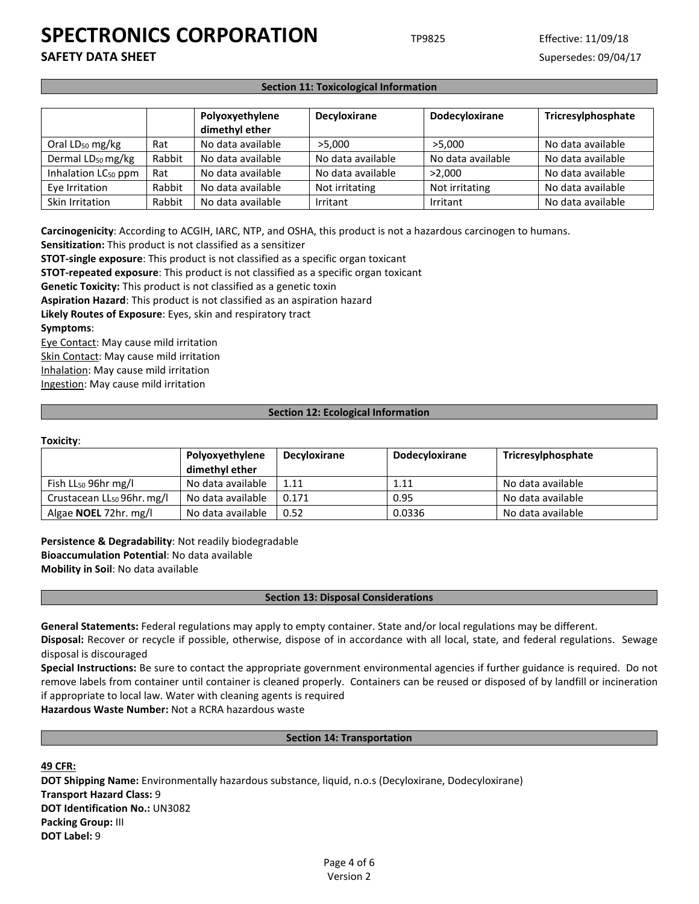**SAFETY DATA SHEET** SUPERFOUR SUPERFOUR SUPERFOUR SUPERFOUR SUPERFOUR SUPERFOUR SUPERFOUR SUPERFOUR SUPERFOUR SUPERFOUR SUPERFOUR SUPERFOUR SUPERFOUR SUPERFOUR SUPERFOUR SUPERFOUR SUPERFOUR SUPERFOUR SUPERFOUR SUPERFOUR SU

#### **Section 11: Toxicological Information**

|                                 |        | Polyoxyethylene<br>dimethyl ether | <b>Decyloxirane</b> | <b>Dodecyloxirane</b> | Tricresylphosphate |
|---------------------------------|--------|-----------------------------------|---------------------|-----------------------|--------------------|
| Oral LD <sub>50</sub> mg/kg     | Rat    | No data available                 | >5.000              | >5.000                | No data available  |
| Dermal LD <sub>50</sub> mg/kg   | Rabbit | No data available                 | No data available   | No data available     | No data available  |
| Inhalation LC <sub>50</sub> ppm | Rat    | No data available                 | No data available   | >2.000                | No data available  |
| Eye Irritation                  | Rabbit | No data available                 | Not irritating      | Not irritating        | No data available  |
| Skin Irritation                 | Rabbit | No data available                 | Irritant            | Irritant              | No data available  |

**Carcinogenicity**: According to ACGIH, IARC, NTP, and OSHA, this product is not a hazardous carcinogen to humans.

**Sensitization:** This product is not classified as a sensitizer

**STOT-single exposure**: This product is not classified as a specific organ toxicant

**STOT-repeated exposure**: This product is not classified as a specific organ toxicant

**Genetic Toxicity:** This product is not classified as a genetic toxin

**Aspiration Hazard**: This product is not classified as an aspiration hazard

**Likely Routes of Exposure**: Eyes, skin and respiratory tract **Symptoms**:

Eye Contact: May cause mild irritation Skin Contact: May cause mild irritation Inhalation: May cause mild irritation Ingestion: May cause mild irritation

#### **Section 12: Ecological Information**

#### **Toxicity**:

|                                        | Polyoxyethylene<br>dimethyl ether | <b>Decyloxirane</b> | <b>Dodecyloxirane</b> | Tricresylphosphate |
|----------------------------------------|-----------------------------------|---------------------|-----------------------|--------------------|
| Fish $LL_{50}$ 96hr mg/l               | No data available                 | 1.11                | 1.11                  | No data available  |
| Crustacean LL <sub>50</sub> 96hr. mg/l | No data available                 | 0.171               | 0.95                  | No data available  |
| Algae <b>NOEL</b> 72hr. mg/l           | No data available                 | 0.52                | 0.0336                | No data available  |

**Persistence & Degradability**: Not readily biodegradable **Bioaccumulation Potential**: No data available **Mobility in Soil**: No data available

#### **Section 13: Disposal Considerations**

**General Statements:** Federal regulations may apply to empty container. State and/or local regulations may be different.

**Disposal:** Recover or recycle if possible, otherwise, dispose of in accordance with all local, state, and federal regulations. Sewage disposal is discouraged

**Special Instructions:** Be sure to contact the appropriate government environmental agencies if further guidance is required. Do not remove labels from container until container is cleaned properly. Containers can be reused or disposed of by landfill or incineration if appropriate to local law. Water with cleaning agents is required

**Hazardous Waste Number:** Not a RCRA hazardous waste

#### **Section 14: Transportation**

**49 CFR:**

**DOT Shipping Name:** Environmentally hazardous substance, liquid, n.o.s (Decyloxirane, Dodecyloxirane) **Transport Hazard Class:** 9 **DOT Identification No.:** UN3082 **Packing Group:** III **DOT Label:** 9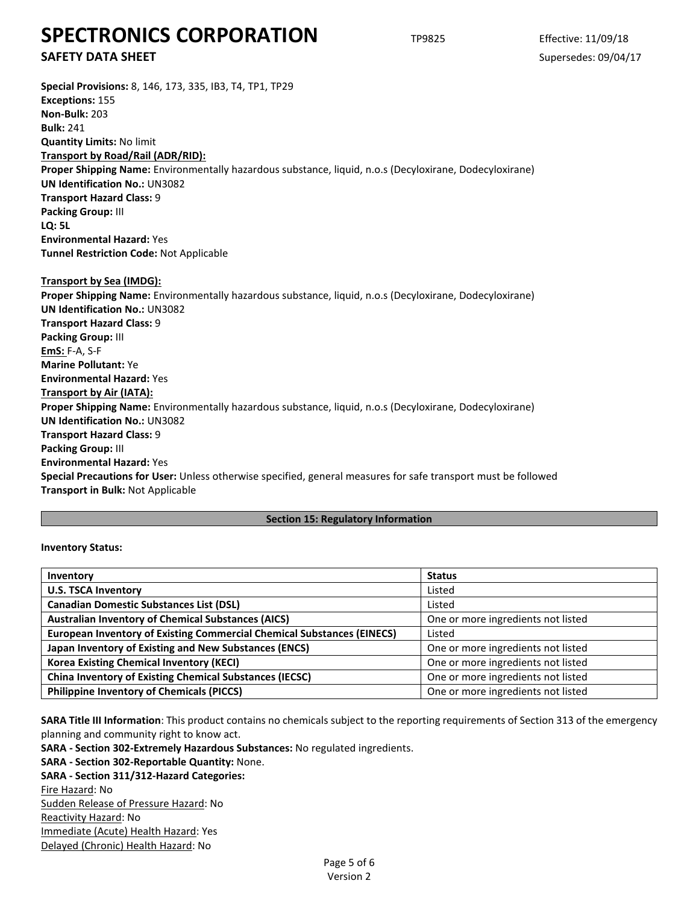**SAFETY DATA SHEET** SUPERFOUR SUPERFOUR SUPERFOUR SUPERFOUR SUPERFOUR SUPERFOUR SUPERFOUR SUPERFOUR SUPERFOUR SUPERFOUR SUPERFOUR SUPERFOUR SUPERFOUR SUPERFOUR SUPERFOUR SUPERFOUR SUPERFOUR SUPERFOUR SUPERFOUR SUPERFOUR SU

| Special Provisions: 8, 146, 173, 335, IB3, T4, TP1, TP29                                                       |
|----------------------------------------------------------------------------------------------------------------|
| <b>Exceptions: 155</b>                                                                                         |
| <b>Non-Bulk: 203</b>                                                                                           |
| <b>Bulk: 241</b>                                                                                               |
| <b>Quantity Limits: No limit</b>                                                                               |
| Transport by Road/Rail (ADR/RID):                                                                              |
| Proper Shipping Name: Environmentally hazardous substance, liquid, n.o.s (Decyloxirane, Dodecyloxirane)        |
| <b>UN Identification No.: UN3082</b>                                                                           |
| <b>Transport Hazard Class: 9</b>                                                                               |
| Packing Group: III                                                                                             |
| <b>LO: 5L</b>                                                                                                  |
| <b>Environmental Hazard: Yes</b>                                                                               |
| <b>Tunnel Restriction Code: Not Applicable</b>                                                                 |
|                                                                                                                |
| Transport by Sea (IMDG):                                                                                       |
| Proper Shipping Name: Environmentally hazardous substance, liquid, n.o.s (Decyloxirane, Dodecyloxirane)        |
| <b>UN Identification No.: UN3082</b>                                                                           |
| <b>Transport Hazard Class: 9</b>                                                                               |
| Packing Group: III                                                                                             |
| <b>EmS: F-A, S-F</b>                                                                                           |
| <b>Marine Pollutant: Ye</b>                                                                                    |
| <b>Environmental Hazard: Yes</b>                                                                               |
| Transport by Air (IATA):                                                                                       |
| Proper Shipping Name: Environmentally hazardous substance, liquid, n.o.s (Decyloxirane, Dodecyloxirane)        |
| <b>UN Identification No.: UN3082</b>                                                                           |
| <b>Transport Hazard Class: 9</b>                                                                               |
| Packing Group: III                                                                                             |
| <b>Environmental Hazard: Yes</b>                                                                               |
| Special Precautions for User: Unless otherwise specified, general measures for safe transport must be followed |
| Transport in Bulk: Not Applicable                                                                              |

### **Section 15: Regulatory Information**

#### **Inventory Status:**

| Inventory                                                                     | <b>Status</b>                      |  |  |
|-------------------------------------------------------------------------------|------------------------------------|--|--|
| <b>U.S. TSCA Inventory</b>                                                    | Listed                             |  |  |
| <b>Canadian Domestic Substances List (DSL)</b>                                | Listed                             |  |  |
| <b>Australian Inventory of Chemical Substances (AICS)</b>                     | One or more ingredients not listed |  |  |
| <b>European Inventory of Existing Commercial Chemical Substances (EINECS)</b> | Listed                             |  |  |
| Japan Inventory of Existing and New Substances (ENCS)                         | One or more ingredients not listed |  |  |
| <b>Korea Existing Chemical Inventory (KECI)</b>                               | One or more ingredients not listed |  |  |
| <b>China Inventory of Existing Chemical Substances (IECSC)</b>                | One or more ingredients not listed |  |  |
| <b>Philippine Inventory of Chemicals (PICCS)</b>                              | One or more ingredients not listed |  |  |

**SARA Title III Information**: This product contains no chemicals subject to the reporting requirements of Section 313 of the emergency planning and community right to know act.

**SARA - Section 302-Extremely Hazardous Substances:** No regulated ingredients.

## **SARA - Section 302-Reportable Quantity:** None.

**SARA - Section 311/312-Hazard Categories:** Fire Hazard: No

Sudden Release of Pressure Hazard: No Reactivity Hazard: No Immediate (Acute) Health Hazard: Yes Delayed (Chronic) Health Hazard: No